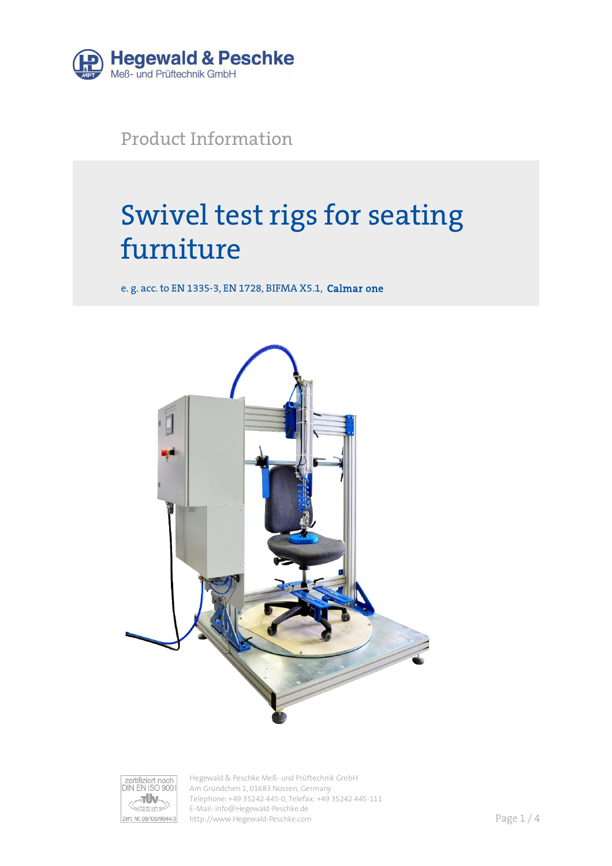

Product Information

# Swivel test rigs for seating furniture

e. g. acc. to EN 1335-3, EN 1728, BIFMA X5.1, Calmar one





Hegewald & Peschke Meß- und Prüftechnik GmbH Am Gründchen 1, 01683 Nossen, Germany Telephone: +49 35242 445-0, Telefax: +49 35242 445-111 E-Mail: info@Hegewald-Peschke.de http://www.Hegewald-Peschke.com **Page 1/4**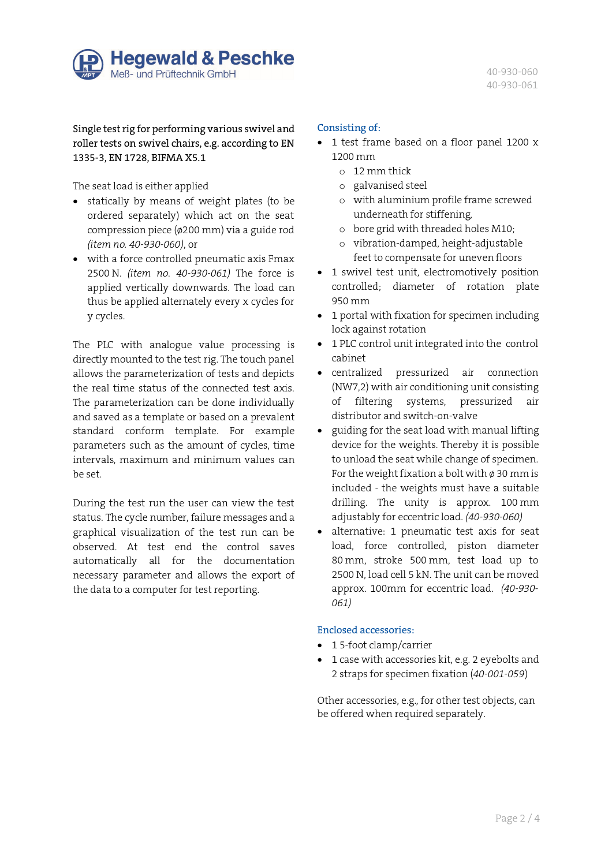

40-930-060 40-930-061

Single test rig for performing various swivel and roller tests on swivel chairs, e.g. according to EN 1335-3, EN 1728, BIFMA X5.1

The seat load is either applied

- statically by means of weight plates (to be ordered separately) which act on the seat compression piece (ø200 mm) via a guide rod *(item no. 40-930-060)*, or
- with a force controlled pneumatic axis Fmax 2500 N. *(item no. 40-930-061)* The force is applied vertically downwards. The load can thus be applied alternately every x cycles for y cycles.

The PLC with analogue value processing is directly mounted to the test rig. The touch panel allows the parameterization of tests and depicts the real time status of the connected test axis. The parameterization can be done individually and saved as a template or based on a prevalent standard conform template. For example parameters such as the amount of cycles, time intervals, maximum and minimum values can be set.

During the test run the user can view the test status. The cycle number, failure messages and a graphical visualization of the test run can be observed. At test end the control saves automatically all for the documentation necessary parameter and allows the export of the data to a computer for test reporting.

### Consisting of:

- 1 test frame based on a floor panel 1200 x 1200 mm
	- o 12 mm thick
	- o galvanised steel
	- o with aluminium profile frame screwed underneath for stiffening,
	- o bore grid with threaded holes M10;
	- o vibration-damped, height-adjustable feet to compensate for uneven floors
- 1 swivel test unit, electromotively position controlled; diameter of rotation plate 950 mm
- 1 portal with fixation for specimen including lock against rotation
- 1 PLC control unit integrated into the control cabinet
- centralized pressurized air connection (NW7,2) with air conditioning unit consisting of filtering systems, pressurized air distributor and switch-on-valve
- guiding for the seat load with manual lifting device for the weights. Thereby it is possible to unload the seat while change of specimen. For the weight fixation a bolt with  $\phi$  30 mm is included - the weights must have a suitable drilling. The unity is approx. 100 mm adjustably for eccentric load. *(40-930-060)*
- alternative: 1 pneumatic test axis for seat load, force controlled, piston diameter 80 mm, stroke 500 mm, test load up to 2500 N, load cell 5 kN. The unit can be moved approx. 100mm for eccentric load. *(40-930- 061)*

# Enclosed accessories:

- 15-foot clamp/carrier
- 1 case with accessories kit, e.g. 2 eyebolts and 2 straps for specimen fixation (*40-001-059*)

Other accessories, e.g., for other test objects, can be offered when required separately.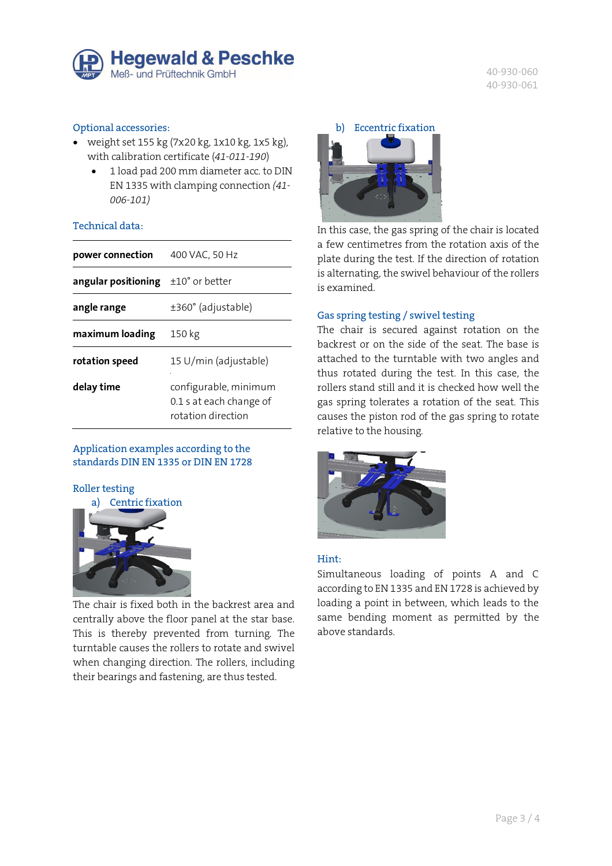

40-930-060 40-930-061

### Optional accessories:

- weight set 155 kg  $(7x20 \text{ kg}, 1x10 \text{ kg}, 1x5 \text{ kg})$ , with calibration certificate (*41-011-190*)
	- 1 load pad 200 mm diameter acc. to DIN EN 1335 with clamping connection *(41- 006-101)*

# Technical data:

| power connection    | 400 VAC, 50 Hz                                                         |  |  |  |
|---------------------|------------------------------------------------------------------------|--|--|--|
| angular positioning | $\pm 10^{\circ}$ or better                                             |  |  |  |
| angle range         | $\pm 360^\circ$ (adjustable)                                           |  |  |  |
| maximum loading     | 150 kg                                                                 |  |  |  |
| rotation speed      | 15 U/min (adjustable)                                                  |  |  |  |
| delay time          | configurable, minimum<br>0.1 s at each change of<br>rotation direction |  |  |  |

Application examples according to the standards DIN EN 1335 or DIN EN 1728

#### Roller testing



The chair is fixed both in the backrest area and centrally above the floor panel at the star base. This is thereby prevented from turning. The turntable causes the rollers to rotate and swivel when changing direction. The rollers, including their bearings and fastening, are thus tested.



In this case, the gas spring of the chair is located a few centimetres from the rotation axis of the plate during the test. If the direction of rotation is alternating, the swivel behaviour of the rollers is examined.

#### Gas spring testing / swivel testing

The chair is secured against rotation on the backrest or on the side of the seat. The base is attached to the turntable with two angles and thus rotated during the test. In this case, the rollers stand still and it is checked how well the gas spring tolerates a rotation of the seat. This causes the piston rod of the gas spring to rotate relative to the housing.



# Hint:

Simultaneous loading of points A and C according to EN 1335 and EN 1728 is achieved by loading a point in between, which leads to the same bending moment as permitted by the above standards.